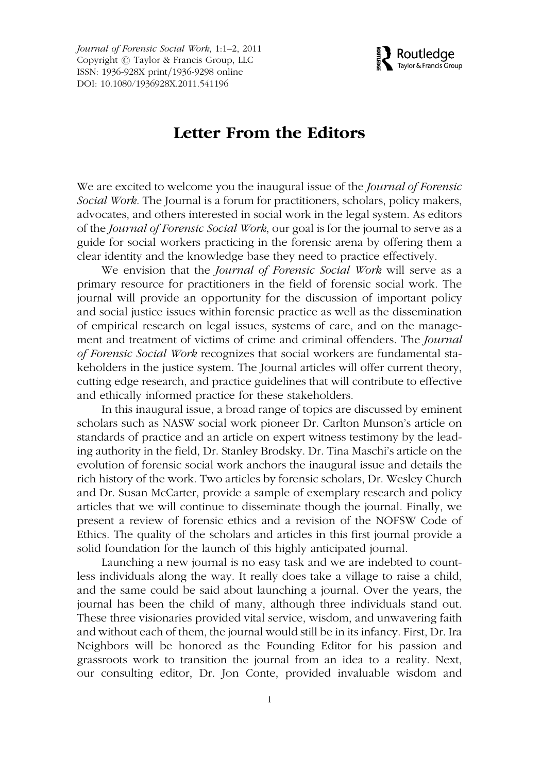Journal of Forensic Social Work, 1:1–2, 2011 Copyright  $\odot$  Taylor & Francis Group, LLC ISSN: 1936-928X print/1936-9298 online DOI: 10.1080/1936928X.2011.541196



## Letter From the Editors

We are excited to welcome you the inaugural issue of the *Journal of Forensic* Social Work. The Journal is a forum for practitioners, scholars, policy makers, advocates, and others interested in social work in the legal system. As editors of the Journal of Forensic Social Work, our goal is for the journal to serve as a guide for social workers practicing in the forensic arena by offering them a clear identity and the knowledge base they need to practice effectively.

We envision that the Journal of Forensic Social Work will serve as a primary resource for practitioners in the field of forensic social work. The journal will provide an opportunity for the discussion of important policy and social justice issues within forensic practice as well as the dissemination of empirical research on legal issues, systems of care, and on the management and treatment of victims of crime and criminal offenders. The Journal of Forensic Social Work recognizes that social workers are fundamental stakeholders in the justice system. The Journal articles will offer current theory, cutting edge research, and practice guidelines that will contribute to effective and ethically informed practice for these stakeholders.

In this inaugural issue, a broad range of topics are discussed by eminent scholars such as NASW social work pioneer Dr. Carlton Munson's article on standards of practice and an article on expert witness testimony by the leading authority in the field, Dr. Stanley Brodsky. Dr. Tina Maschi's article on the evolution of forensic social work anchors the inaugural issue and details the rich history of the work. Two articles by forensic scholars, Dr. Wesley Church and Dr. Susan McCarter, provide a sample of exemplary research and policy articles that we will continue to disseminate though the journal. Finally, we present a review of forensic ethics and a revision of the NOFSW Code of Ethics. The quality of the scholars and articles in this first journal provide a solid foundation for the launch of this highly anticipated journal.

Launching a new journal is no easy task and we are indebted to countless individuals along the way. It really does take a village to raise a child, and the same could be said about launching a journal. Over the years, the journal has been the child of many, although three individuals stand out. These three visionaries provided vital service, wisdom, and unwavering faith and without each of them, the journal would still be in its infancy. First, Dr. Ira Neighbors will be honored as the Founding Editor for his passion and grassroots work to transition the journal from an idea to a reality. Next, our consulting editor, Dr. Jon Conte, provided invaluable wisdom and